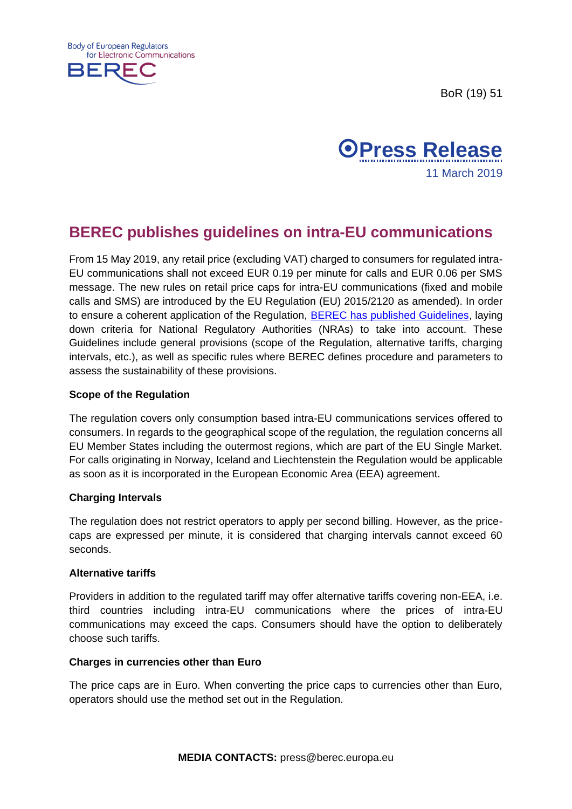BoR (19) 51





# **BEREC publishes guidelines on intra-EU communications**

From 15 May 2019, any retail price (excluding VAT) charged to consumers for regulated intra-EU communications shall not exceed EUR 0.19 per minute for calls and EUR 0.06 per SMS message. The new rules on retail price caps for intra-EU communications (fixed and mobile calls and SMS) are introduced by the EU Regulation (EU) 2015/2120 as amended). In order to ensure a coherent application of the Regulation, [BEREC has published Guidelines,](https://berec.europa.eu/eng/document_register/subject_matter/berec/regulatory_best_practices/guidelines/8448-berec-guidelines-on-intra-eu-communications) laying down criteria for National Regulatory Authorities (NRAs) to take into account. These Guidelines include general provisions (scope of the Regulation, alternative tariffs, charging intervals, etc.), as well as specific rules where BEREC defines procedure and parameters to assess the sustainability of these provisions.

## **Scope of the Regulation**

The regulation covers only consumption based intra-EU communications services offered to consumers. In regards to the geographical scope of the regulation, the regulation concerns all EU Member States including the outermost regions, which are part of the EU Single Market. For calls originating in Norway, Iceland and Liechtenstein the Regulation would be applicable as soon as it is incorporated in the European Economic Area (EEA) agreement.

## **Charging Intervals**

The regulation does not restrict operators to apply per second billing. However, as the pricecaps are expressed per minute, it is considered that charging intervals cannot exceed 60 seconds.

#### **Alternative tariffs**

Providers in addition to the regulated tariff may offer alternative tariffs covering non-EEA, i.e. third countries including intra-EU communications where the prices of intra-EU communications may exceed the caps. Consumers should have the option to deliberately choose such tariffs.

### **Charges in currencies other than Euro**

The price caps are in Euro. When converting the price caps to currencies other than Euro, operators should use the method set out in the Regulation.